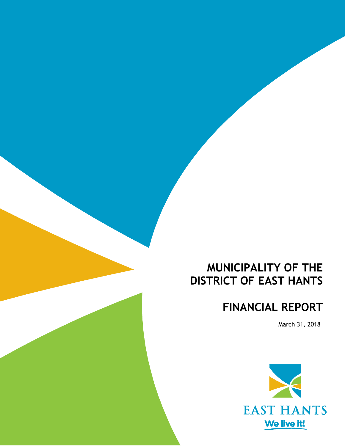# **MUNICIPALITY OF THE DISTRICT OF EAST HANTS**

# **FINANCIAL REPORT**

March 31, 2018

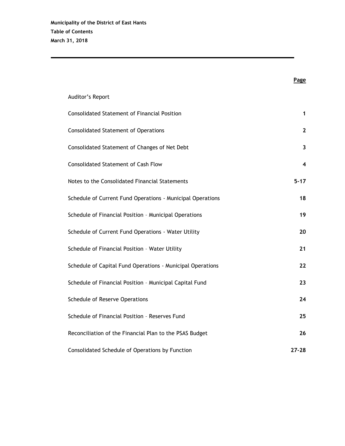|                                                            | Page         |
|------------------------------------------------------------|--------------|
| Auditor's Report                                           |              |
| <b>Consolidated Statement of Financial Position</b>        | 1            |
| <b>Consolidated Statement of Operations</b>                | $\mathbf{2}$ |
| Consolidated Statement of Changes of Net Debt              | 3            |
| <b>Consolidated Statement of Cash Flow</b>                 | 4            |
| Notes to the Consolidated Financial Statements             | $5 - 17$     |
| Schedule of Current Fund Operations - Municipal Operations | 18           |
| Schedule of Financial Position - Municipal Operations      | 19           |
| Schedule of Current Fund Operations - Water Utility        | 20           |
| Schedule of Financial Position - Water Utility             | 21           |
| Schedule of Capital Fund Operations - Municipal Operations | 22           |
| Schedule of Financial Position - Municipal Capital Fund    | 23           |
| Schedule of Reserve Operations                             | 24           |
| Schedule of Financial Position - Reserves Fund             | 25           |
| Reconciliation of the Financial Plan to the PSAS Budget    | 26           |
| Consolidated Schedule of Operations by Function            | $27 - 28$    |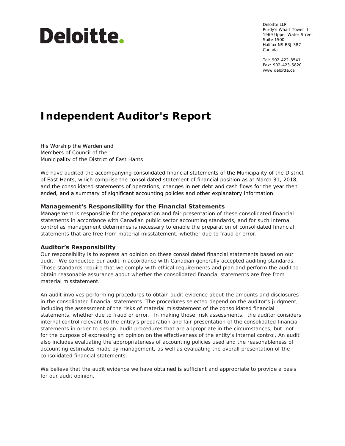# **Deloitte.**

Deloitte LLP Purdy's Wharf Tower II 1969 Upper Water Street Suite 1500 Halifax NS B3J 3R7 Canada

Tel: 902-422-8541 Fax: 902-423-5820 www.deloitte.ca

# **Independent Auditor's Report**

His Worship the Warden and Members of Council of the Municipality of the District of East Hants

We have audited the accompanying consolidated financial statements of the Municipality of the District of East Hants, which comprise the consolidated statement of financial position as at March 31, 2018, and the consolidated statements of operations, changes in net debt and cash flows for the year then ended, and a summary of significant accounting policies and other explanatory information.

#### **Management's Responsibility for the Financial Statements**

Management is responsible for the preparation and fair presentation of these consolidated financial statements in accordance with Canadian public sector accounting standards, and for such internal control as management determines is necessary to enable the preparation of consolidated financial statements that are free from material misstatement, whether due to fraud or error.

#### **Auditor's Responsibility**

Our responsibility is to express an opinion on these consolidated financial statements based on our audit. We conducted our audit in accordance with Canadian generally accepted auditing standards. Those standards require that we comply with ethical requirements and plan and perform the audit to obtain reasonable assurance about whether the consolidated financial statements are free from material misstatement.

An audit involves performing procedures to obtain audit evidence about the amounts and disclosures in the consolidated financial statements. The procedures selected depend on the auditor's judgment, including the assessment of the risks of material misstatement of the consolidated financial statements, whether due to fraud or error. In making those risk assessments, the auditor considers internal control relevant to the entity's preparation and fair presentation of the consolidated financial statements in order to design audit procedures that are appropriate in the circumstances, but not for the purpose of expressing an opinion on the effectiveness of the entity's internal control. An audit also includes evaluating the appropriateness of accounting policies used and the reasonableness of accounting estimates made by management, as well as evaluating the overall presentation of the consolidated financial statements.

We believe that the audit evidence we have obtained is sufficient and appropriate to provide a basis for our audit opinion.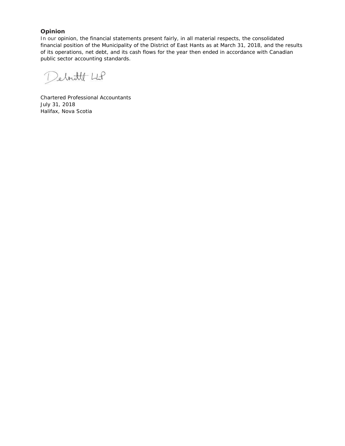#### **Opinion**

In our opinion, the financial statements present fairly, in all material respects, the consolidated financial position of the Municipality of the District of East Hants as at March 31, 2018, and the results of its operations, net debt, and its cash flows for the year then ended in accordance with Canadian public sector accounting standards.

Deboutter LLP

Chartered Professional Accountants July 31, 2018 Halifax, Nova Scotia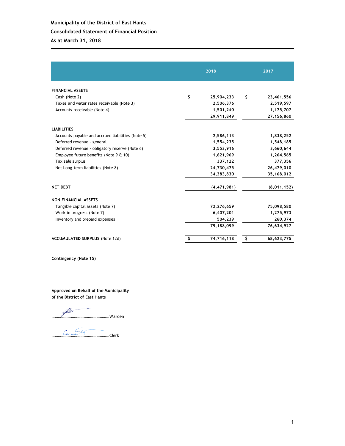# **Municipality of the District of East Hants Consolidated Statement of Financial Position**

**As at March 31, 2018**

|                                                   | 2018 |               |    | 2017        |  |  |
|---------------------------------------------------|------|---------------|----|-------------|--|--|
| <b>FINANCIAL ASSETS</b>                           |      |               |    |             |  |  |
| Cash (Note 2)                                     | \$   | 25,904,233    | \$ | 23,461,556  |  |  |
| Taxes and water rates receivable (Note 3)         |      | 2,506,376     |    | 2,519,597   |  |  |
| Accounts receivable (Note 4)                      |      | 1,501,240     |    | 1,175,707   |  |  |
|                                                   |      | 29,911,849    |    | 27,156,860  |  |  |
| <b>LIABILITIES</b>                                |      |               |    |             |  |  |
| Accounts payable and accrued liabilities (Note 5) |      | 2,586,113     |    | 1,838,252   |  |  |
| Deferred revenue - general                        |      | 1,554,235     |    | 1,548,185   |  |  |
| Deferred revenue - obligatory reserve (Note 6)    |      | 3,553,916     |    | 3,660,644   |  |  |
| Employee future benefits (Note 9 & 10)            |      | 1,621,969     |    | 1,264,565   |  |  |
| Tax sale surplus                                  |      | 337,122       |    | 377,356     |  |  |
| Net Long-term liabilities (Note 8)                |      | 24,730,475    |    | 26,479,010  |  |  |
|                                                   |      | 34, 383, 830  |    | 35,168,012  |  |  |
| <b>NET DEBT</b>                                   |      | (4, 471, 981) |    | (8,011,152) |  |  |
| <b>NON FINANCIAL ASSETS</b>                       |      |               |    |             |  |  |
| Tangible capital assets (Note 7)                  |      | 72,276,659    |    | 75,098,580  |  |  |
| Work in progress (Note 7)                         |      | 6,407,201     |    | 1,275,973   |  |  |
| Inventory and prepaid expenses                    |      | 504,239       |    | 260,374     |  |  |
|                                                   |      | 79,188,099    |    | 76,634,927  |  |  |
| <b>ACCUMULATED SURPLUS (Note 12d)</b>             |      | 74,716,118    | \$ | 68,623,775  |  |  |

**Contingency (Note 15)**

**Approved on Behalf of the Municipality of the District of East Hants**

………………………………………………Warden

………………………………………………Clerk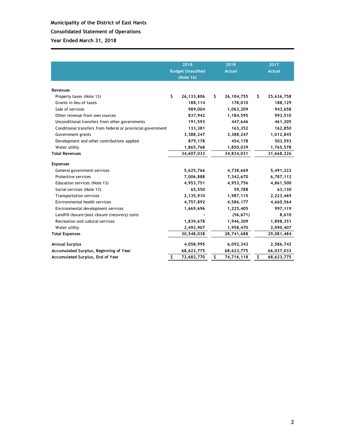# **Consolidated Statement of Operations**

|                                                             | 2018                    |    | 2018          |    | 2017          |
|-------------------------------------------------------------|-------------------------|----|---------------|----|---------------|
|                                                             | <b>Budget Unaudited</b> |    | <b>Actual</b> |    | <b>Actual</b> |
|                                                             | (Note 16)               |    |               |    |               |
| Revenues                                                    |                         |    |               |    |               |
| Property taxes (Note 13)                                    | \$<br>26, 133, 806      | S. | 26, 104, 755  | Ŝ. | 25,636,758    |
| Grants in lieu of taxes                                     | 188,114                 |    | 178,010       |    | 188,129       |
| Sale of services                                            | 989,004                 |    | 1,063,209     |    | 943,658       |
| Other revenue from own sources                              | 837,942                 |    | 1,184,595     |    | 993,510       |
| Unconditional transfers from other governments              | 191,593                 |    | 447,646       |    | 461,305       |
| Conditional transfers from federal or provincial government | 133,381                 |    | 163,352       |    | 162,850       |
| Government grants                                           | 3,388,247               |    | 3,388,247     |    | 1,012,845     |
| Development and other contributions applied                 | 879,178                 |    | 454,178       |    | 503,593       |
| Water utility                                               | 1,865,768               |    | 1,850,039     |    | 1,765,578     |
| <b>Total Revenues</b>                                       | 34,607,033              |    | 34,834,031    |    | 31,668,226    |
| <b>Expenses</b>                                             |                         |    |               |    |               |
| General government services                                 | 5,625,766               |    | 4,738,669     |    | 5,491,222     |
| Protective services                                         | 7,006,888               |    | 7,342,670     |    | 6,787,112     |
| Education services (Note 13)                                | 4,953,751               |    | 4,953,756     |    | 4,861,500     |
| Social services (Note 13)                                   | 65,550                  |    | 59,788        |    | 63,130        |
| <b>Transportation services</b>                              | 2,135,910               |    | 1,987,115     |    | 2,223,469     |
| Environmental health services                               | 4,757,892               |    | 4,586,177     |    | 4,660,564     |
| Environmental development services                          | 1,669,696               |    | 1,225,405     |    | 997,119       |
| Landfill closure/post closure (recovery) costs              |                         |    | (56, 671)     |    | 8,610         |
| Recreation and cultural services                            | 1,839,678               |    | 1,946,309     |    | 1,898,351     |
| Water utility                                               | 2,492,907               |    | 1,958,470     |    | 2,090,407     |
| <b>Total Expenses</b>                                       | 30,548,038              |    | 28,741,688    |    | 29,081,484    |
| <b>Annual Surplus</b>                                       | 4,058,995               |    | 6,092,343     |    | 2,586,742     |
| Accumulated Surplus, Beginning of Year                      | 68,623,775              |    | 68,623,775    |    | 66,037,033    |
| Accumulated Surplus, End of Year                            | \$<br>72,682,770        | \$ | 74,716,118    | \$ | 68,623,775    |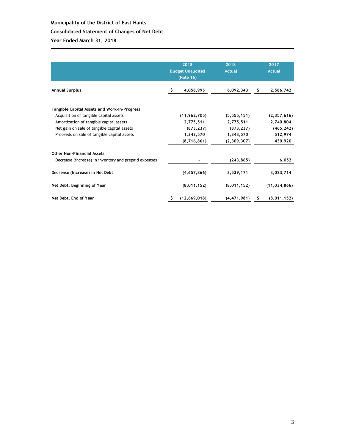# **Municipality of the District of East Hants Consolidated Statement of Changes of Net Debt**

|                                                       |    | 2018                    | 2018          |      | 2017           |
|-------------------------------------------------------|----|-------------------------|---------------|------|----------------|
|                                                       |    | <b>Budget Unaudited</b> | <b>Actual</b> |      | <b>Actual</b>  |
|                                                       |    | (Note 16)               |               |      |                |
| <b>Annual Surplus</b>                                 | Ŝ. | 4,058,995               | 6,092,343     | - \$ | 2,586,742      |
| Tangible Capital Assets and Work-in-Progress          |    |                         |               |      |                |
| Acquisition of tangible capital assets                |    | (11, 962, 705)          | (5, 555, 151) |      | (2,357,616)    |
| Amortization of tangible capital assets               |    | 2,775,511               | 2,775,511     |      | 2,740,804      |
| Net gain on sale of tangible capital assets           |    | (873, 237)              | (873, 237)    |      | (465, 242)     |
| Proceeds on sale of tangible capital assets           |    | 1,343,570               | 1,343,570     |      | 512,974        |
|                                                       |    | (8,716,861)             | (2, 309, 307) |      | 430,920        |
| <b>Other Non-Financial Assets</b>                     |    |                         |               |      |                |
| Decrease (increase) in inventory and prepaid expenses |    |                         | (243, 865)    |      | 6,052          |
| Decrease (Increase) in Net Debt                       |    | (4,657,866)             | 3,539,171     |      | 3,023,714      |
| Net Debt, Beginning of Year                           |    | (8,011,152)             | (8,011,152)   |      | (11, 034, 866) |
| Net Debt, End of Year                                 | Ś  | (12,669,018)            | (4, 471, 981) | \$   | (8,011,152)    |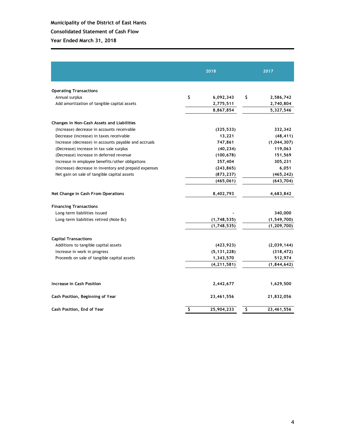# **Consolidated Statement of Cash Flow**

|                                                       | 2018             | 2017 |               |  |
|-------------------------------------------------------|------------------|------|---------------|--|
| <b>Operating Transactions</b>                         |                  |      |               |  |
| Annual surplus                                        | \$<br>6,092,343  | \$   | 2,586,742     |  |
| Add amortization of tangible capital assets           | 2,775,511        |      | 2,740,804     |  |
|                                                       | 8,867,854        |      | 5,327,546     |  |
| Changes in Non-Cash Assets and Liabilities            |                  |      |               |  |
| (Increase) decrease in accounts receivable            | (325, 533)       |      | 332,342       |  |
| Decrease (increase) in taxes receivable               | 13,221           |      | (48, 411)     |  |
| Increase (decrease) in accounts payable and accruals  | 747,861          |      | (1,044,307)   |  |
| (Decrease) increase in tax sale surplus               | (40, 234)        |      | 119,063       |  |
| (Decrease) increase in deferred revenue               | (100, 678)       |      | 151,569       |  |
| Increase in employee benefits/other obligations       | 357,404          |      | 305,231       |  |
| (Increase) decrease in inventory and prepaid expenses | (243, 865)       |      | 6,051         |  |
| Net gain on sale of tangible capital assets           | (873, 237)       |      | (465, 242)    |  |
|                                                       | (465, 061)       |      | (643, 704)    |  |
| Net Change in Cash From Operations                    | 8,402,793        |      | 4,683,842     |  |
| <b>Financing Transactions</b>                         |                  |      |               |  |
| Long-term liabilities issued                          |                  |      | 340,000       |  |
| Long-term liabilities retired (Note 8c)               | (1,748,535)      |      | (1, 549, 700) |  |
|                                                       | (1,748,535)      |      | (1, 209, 700) |  |
| <b>Capital Transactions</b>                           |                  |      |               |  |
| Additions to tangible capital assets                  | (423, 923)       |      | (2,039,144)   |  |
| Increase in work in progress                          | (5, 131, 228)    |      | (318, 472)    |  |
| Proceeds on sale of tangible capital assets           | 1,343,570        |      | 512,974       |  |
|                                                       | (4, 211, 581)    |      | (1,844,642)   |  |
| <b>Increase in Cash Position</b>                      | 2,442,677        |      | 1,629,500     |  |
| Cash Position, Beginning of Year                      | 23,461,556       |      | 21,832,056    |  |
| Cash Position, End of Year                            | \$<br>25,904,233 | \$   | 23,461,556    |  |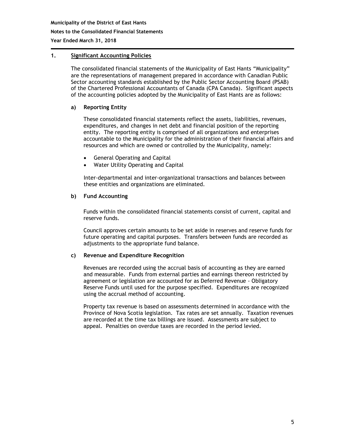#### **1. Significant Accounting Policies**

The consolidated financial statements of the Municipality of East Hants "Municipality" are the representations of management prepared in accordance with Canadian Public Sector accounting standards established by the Public Sector Accounting Board (PSAB) of the Chartered Professional Accountants of Canada (CPA Canada). Significant aspects of the accounting policies adopted by the Municipality of East Hants are as follows:

#### **a) Reporting Entity**

These consolidated financial statements reflect the assets, liabilities, revenues, expenditures, and changes in net debt and financial position of the reporting entity. The reporting entity is comprised of all organizations and enterprises accountable to the Municipality for the administration of their financial affairs and resources and which are owned or controlled by the Municipality, namely:

- General Operating and Capital
- Water Utility Operating and Capital

Inter-departmental and inter-organizational transactions and balances between these entities and organizations are eliminated.

#### **b) Fund Accounting**

Funds within the consolidated financial statements consist of current, capital and reserve funds.

Council approves certain amounts to be set aside in reserves and reserve funds for future operating and capital purposes. Transfers between funds are recorded as adjustments to the appropriate fund balance.

#### **c) Revenue and Expenditure Recognition**

Revenues are recorded using the accrual basis of accounting as they are earned and measurable. Funds from external parties and earnings thereon restricted by agreement or legislation are accounted for as Deferred Revenue - Obligatory Reserve Funds until used for the purpose specified. Expenditures are recognized using the accrual method of accounting.

Property tax revenue is based on assessments determined in accordance with the Province of Nova Scotia legislation. Tax rates are set annually. Taxation revenues are recorded at the time tax billings are issued. Assessments are subject to appeal. Penalties on overdue taxes are recorded in the period levied.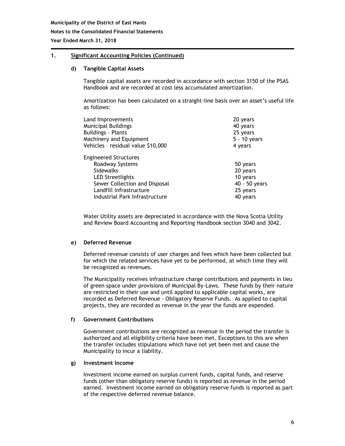#### **1. Significant Accounting Policies (Continued)**

#### **d) Tangible Capital Assets**

Tangible capital assets are recorded in accordance with section 3150 of the PSAS Handbook and are recorded at cost less accumulated amortization.

Amortization has been calculated on a straight-line basis over an asset's useful life as follows:

| Land Improvements                  |               |
|------------------------------------|---------------|
| Municipal Buildings                | 40 years      |
| <b>Buildings - Plants</b>          | 25 years      |
| Machinery and Equipment            | 5 - 10 years  |
| Vehicles - residual value \$10,000 | 4 years       |
| <b>Engineered Structures</b>       |               |
| Roadway Systems                    | 50 years      |
| <b>Sidewalks</b>                   | 20 years      |
| <b>LED Streetlights</b>            | 10 years      |
| Sewer Collection and Disposal      | 40 - 50 years |
| Landfill Infrastructure            | 25 years      |
| Industrial Park Infrastructure     | 40 years      |

Water Utility assets are depreciated in accordance with the Nova Scotia Utility and Review Board Accounting and Reporting Handbook section 3040 and 3042.

#### **e) Deferred Revenue**

Deferred revenue consists of user charges and fees which have been collected but for which the related services have yet to be performed, at which time they will be recognized as revenues.

The Municipality receives infrastructure charge contributions and payments in lieu of green space under provisions of Municipal By-Laws. These funds by their nature are restricted in their use and until applied to applicable capital works, are recorded as Deferred Revenue - Obligatory Reserve Funds. As applied to capital projects, they are recorded as revenue in the year the funds are expended.

#### **f) Government Contributions**

Government contributions are recognized as revenue in the period the transfer is authorized and all eligibility criteria have been met. Exceptions to this are when the transfer includes stipulations which have not yet been met and cause the Municipality to incur a liability.

#### **g) Investment Income**

Investment income earned on surplus current funds, capital funds, and reserve funds (other than obligatory reserve funds) is reported as revenue in the period earned. Investment income earned on obligatory reserve funds is reported as part of the respective deferred revenue balance.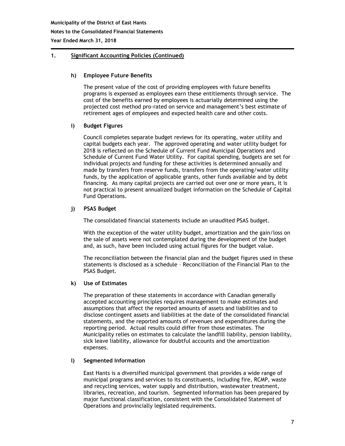#### **1. Significant Accounting Policies (Continued)**

#### **h) Employee Future Benefits**

The present value of the cost of providing employees with future benefits programs is expensed as employees earn these entitlements through service. The cost of the benefits earned by employees is actuarially determined using the projected cost method pro-rated on service and management's best estimate of retirement ages of employees and expected health care and other costs.

#### **i) Budget Figures**

Council completes separate budget reviews for its operating, water utility and capital budgets each year. The approved operating and water utility budget for 2018 is reflected on the Schedule of Current Fund Municipal Operations and Schedule of Current Fund Water Utility. For capital spending, budgets are set for individual projects and funding for these activities is determined annually and made by transfers from reserve funds, transfers from the operating/water utility funds, by the application of applicable grants, other funds available and by debt financing. As many capital projects are carried out over one or more years, it is not practical to present annualized budget information on the Schedule of Capital Fund Operations.

#### **j) PSAS Budget**

The consolidated financial statements include an unaudited PSAS budget.

With the exception of the water utility budget, amortization and the gain/loss on the sale of assets were not contemplated during the development of the budget and, as such, have been included using actual figures for the budget value.

The reconciliation between the financial plan and the budget figures used in these statements is disclosed as a schedule – Reconciliation of the Financial Plan to the PSAS Budget.

#### **k) Use of Estimates**

The preparation of these statements in accordance with Canadian generally accepted accounting principles requires management to make estimates and assumptions that affect the reported amounts of assets and liabilities and to disclose contingent assets and liabilities at the date of the consolidated financial statements, and the reported amounts of revenues and expenditures during the reporting period. Actual results could differ from those estimates. The Municipality relies on estimates to calculate the landfill liability, pension liability, sick leave liability, allowance for doubtful accounts and the amortization expenses.

#### **l) Segmented Information**

East Hants is a diversified municipal government that provides a wide range of municipal programs and services to its constituents, including fire, RCMP, waste and recycling services, water supply and distribution, wastewater treatment, libraries, recreation, and tourism. Segmented information has been prepared by major functional classification, consistent with the Consolidated Statement of Operations and provincially legislated requirements.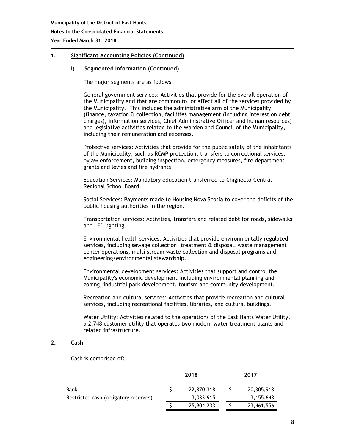#### **1. Significant Accounting Policies (Continued)**

#### **l) Segmented Information (Continued)**

The major segments are as follows:

General government services: Activities that provide for the overall operation of the Municipality and that are common to, or affect all of the services provided by the Municipality. This includes the administrative arm of the Municipality (finance, taxation & collection, facilities management (including interest on debt charges), information services, Chief Administrative Officer and human resources) and legislative activities related to the Warden and Council of the Municipality, including their remuneration and expenses.

Protective services: Activities that provide for the public safety of the inhabitants of the Municipality, such as RCMP protection, transfers to correctional services, bylaw enforcement, building inspection, emergency measures, fire department grants and levies and fire hydrants.

Education Services: Mandatory education transferred to Chignecto-Central Regional School Board.

Social Services: Payments made to Housing Nova Scotia to cover the deficits of the public housing authorities in the region.

Transportation services: Activities, transfers and related debt for roads, sidewalks and LED lighting.

Environmental health services: Activities that provide environmentally regulated services, including sewage collection, treatment & disposal, waste management center operations, multi stream waste collection and disposal programs and engineering/environmental stewardship.

Environmental development services: Activities that support and control the Municipality's economic development including environmental planning and zoning, industrial park development, tourism and community development.

Recreation and cultural services: Activities that provide recreation and cultural services, including recreational facilities, libraries, and cultural buildings.

Water Utility: Activities related to the operations of the East Hants Water Utility, a 2,748 customer utility that operates two modern water treatment plants and related infrastructure.

#### **2. Cash**

Cash is comprised of:

|                                       | 2018       | 2017 |            |  |
|---------------------------------------|------------|------|------------|--|
| Bank                                  | 22,870,318 |      | 20,305,913 |  |
| Restricted cash (obligatory reserves) | 3,033,915  |      | 3,155,643  |  |
|                                       | 25,904,233 |      | 23,461,556 |  |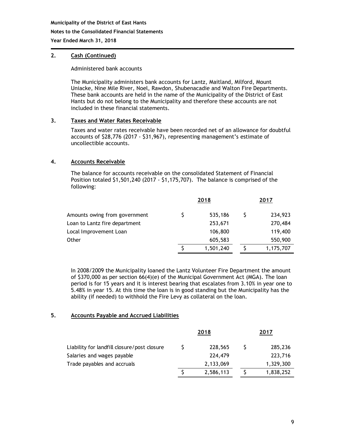#### **Notes to the Consolidated Financial Statements**

**Year Ended March 31, 2018**

#### **2. Cash (Continued)**

Administered bank accounts

The Municipality administers bank accounts for Lantz, Maitland, Milford, Mount Uniacke, Nine Mile River, Noel, Rawdon, Shubenacadie and Walton Fire Departments. These bank accounts are held in the name of the Municipality of the District of East Hants but do not belong to the Municipality and therefore these accounts are not included in these financial statements.

#### **3. Taxes and Water Rates Receivable**

Taxes and water rates receivable have been recorded net of an allowance for doubtful accounts of \$28,776 (2017 - \$31,967), representing management's estimate of uncollectible accounts.

#### **4. Accounts Receivable**

The balance for accounts receivable on the consolidated Statement of Financial Position totaled \$1,501,240 (2017 - \$1,175,707). The balance is comprised of the following:

|                               | 2018      | 2017 |           |
|-------------------------------|-----------|------|-----------|
| Amounts owing from government | 535,186   |      | 234,923   |
| Loan to Lantz fire department | 253,671   |      | 270,484   |
| Local Improvement Loan        | 106,800   |      | 119,400   |
| Other                         | 605,583   |      | 550,900   |
|                               | 1,501,240 |      | 1,175,707 |

In 2008/2009 the Municipality loaned the Lantz Volunteer Fire Department the amount of \$370,000 as per section 66(4)(e) of the Municipal Government Act (MGA). The loan period is for 15 years and it is interest bearing that escalates from 3.10% in year one to 5.48% in year 15. At this time the loan is in good standing but the Municipality has the ability (if needed) to withhold the Fire Levy as collateral on the loan.

#### **5. Accounts Payable and Accrued Liabilities**

|                                             | 2018      | 2017 |           |  |
|---------------------------------------------|-----------|------|-----------|--|
| Liability for landfill closure/post closure | 228,565   |      | 285,236   |  |
| Salaries and wages payable                  | 224,479   |      | 223,716   |  |
| Trade payables and accruals                 | 2,133,069 |      | 1,329,300 |  |
|                                             | 2,586,113 |      | 1,838,252 |  |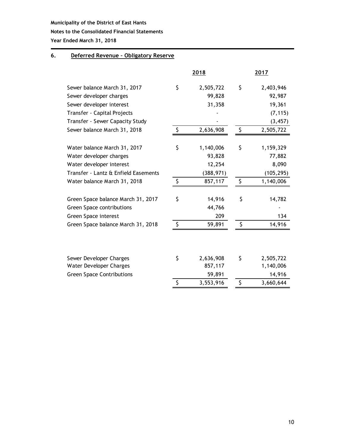#### **Notes to the Consolidated Financial Statements**

**Year Ended March 31, 2018**

# **6. Deferred Revenue – Obligatory Reserve**

|                                      |              | 2018       | 2017 |            |  |
|--------------------------------------|--------------|------------|------|------------|--|
| Sewer balance March 31, 2017         | \$           | 2,505,722  | \$   | 2,403,946  |  |
| Sewer developer charges              |              | 99,828     |      | 92,987     |  |
| Sewer developer interest             |              | 31,358     |      | 19,361     |  |
| Transfer - Capital Projects          |              |            |      | (7, 115)   |  |
| Transfer - Sewer Capacity Study      |              |            |      | (3, 457)   |  |
| Sewer balance March 31, 2018         | \$           | 2,636,908  | \$   | 2,505,722  |  |
| Water balance March 31, 2017         | \$           | 1,140,006  | \$   | 1,159,329  |  |
| Water developer charges              |              | 93,828     |      | 77,882     |  |
| Water developer interest             |              | 12,254     |      | 8,090      |  |
| Transfer - Lantz & Enfield Easements |              | (388, 971) |      | (105, 295) |  |
| Water balance March 31, 2018         | \$           | 857,117    | \$   | 1,140,006  |  |
| Green Space balance March 31, 2017   | \$           | 14,916     | \$   | 14,782     |  |
| Green Space contributions            |              | 44,766     |      |            |  |
| Green Space interest                 |              | 209        |      | 134        |  |
| Green Space balance March 31, 2018   | $\mathsf{S}$ | 59,891     | \$   | 14,916     |  |
|                                      |              |            |      |            |  |
| Sewer Developer Charges              | \$           | 2,636,908  | \$   | 2,505,722  |  |
| Water Developer Charges              |              | 857,117    |      | 1,140,006  |  |
| <b>Green Space Contributions</b>     |              | 59,891     |      | 14,916     |  |
|                                      | $\zeta$      | 3,553,916  | \$   | 3,660,644  |  |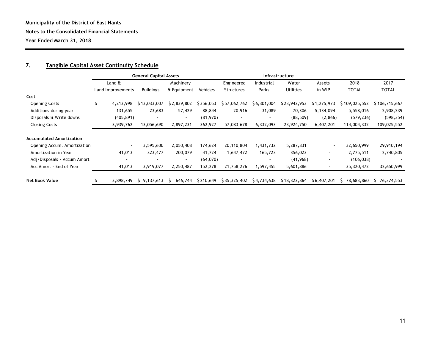# **7. Tangible Capital Asset Continuity Schedule**

|                                 | <b>General Capital Assets</b> |                         |                  |                          |           | Infrastructure        |             |                  |             |               |               |
|---------------------------------|-------------------------------|-------------------------|------------------|--------------------------|-----------|-----------------------|-------------|------------------|-------------|---------------|---------------|
|                                 |                               | Land $\mathbf{\hat{a}}$ |                  | Machinery                |           | Engineered            | Industrial  | Water            | Assets      | 2018          | 2017          |
|                                 |                               | Land Improvements       | <b>Buildings</b> | & Equipment              | Vehicles  | <b>Structures</b>     | Parks       | <b>Utilities</b> | in WIP      | <b>TOTAL</b>  | <b>TOTAL</b>  |
| Cost                            |                               |                         |                  |                          |           |                       |             |                  |             |               |               |
| <b>Opening Costs</b>            |                               | 4.213.998               | \$13,033,007     | \$2,839,802              | \$356,053 | \$57,062,762          | \$6,301,004 | \$23,942,953     | \$1,275,973 | \$109,025,552 | \$106,715,667 |
| Additions during year           |                               | 131,655                 | 23,683           | 57,429                   | 88,844    | 20,916                | 31,089      | 70,306           | 5,134,094   | 5,558,016     | 2,908,239     |
| Disposals & Write downs         |                               | (405, 891)              |                  |                          | (81,970)  |                       |             | (88, 509)        | (2, 866)    | (579, 236)    | (598, 354)    |
| <b>Closing Costs</b>            |                               | 3,939,762               | 13,056,690       | 2,897,231                | 362,927   | 57,083,678            | 6,332,093   | 23,924,750       | 6,407,201   | 114,004,332   | 109,025,552   |
|                                 |                               |                         |                  |                          |           |                       |             |                  |             |               |               |
| <b>Accumulated Amortization</b> |                               |                         |                  |                          |           |                       |             |                  |             |               |               |
| Opening Accum. Amortization     |                               | $\sim$                  | 3,595,600        | 2,050,408                | 174,624   | 20,110,804            | 1,431,732   | 5,287,831        |             | 32,650,999    | 29,910,194    |
| Amortization in Year            |                               | 41,013                  | 323,477          | 200,079                  | 41,724    | 1,647,472             | 165,723     | 356,023          | $\sim$      | 2,775,511     | 2,740,805     |
| Adj/Disposals - Accum Amort     |                               |                         |                  | $\overline{\phantom{a}}$ | (64,070)  | $\tilde{\phantom{a}}$ | $\sim$      | (41, 968)        |             | (106, 038)    |               |
| Acc Amort - End of Year         |                               | 41,013                  | 3,919,077        | 2,250,487                | 152,278   | 21,758,276            | 1,597,455   | 5,601,886        |             | 35,320,472    | 32,650,999    |
| <b>Net Book Value</b>           |                               | 3.898.749               | \$9,137,613      | 646,744                  | \$210,649 | \$35,325,402          | \$4,734,638 | \$18,322,864     | \$6,407,201 | \$78,683,860  | \$76,374,553  |
|                                 |                               |                         |                  |                          |           |                       |             |                  |             |               |               |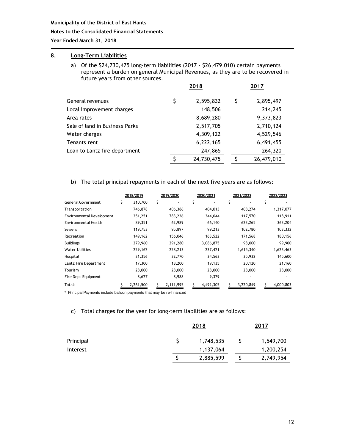#### **Notes to the Consolidated Financial Statements**

**Year Ended March 31, 2018**

#### **8. Long-Term Liabilities**

a) Of the \$24,730,475 long-term liabilities (2017 - \$26,479,010) certain payments represent a burden on general Municipal Revenues, as they are to be recovered in future years from other sources.

|                                | 2018 |            |    | 2017       |  |  |
|--------------------------------|------|------------|----|------------|--|--|
| General revenues               | \$   | 2,595,832  | \$ | 2,895,497  |  |  |
| Local improvement charges      |      | 148,506    |    | 214,245    |  |  |
| Area rates                     |      | 8,689,280  |    | 9,373,823  |  |  |
| Sale of land in Business Parks |      | 2,517,705  |    | 2,710,124  |  |  |
| Water charges                  |      | 4,309,122  |    | 4,529,546  |  |  |
| Tenants rent                   |      | 6,222,165  |    | 6,491,455  |  |  |
| Loan to Lantz fire department  |      | 247,865    |    | 264,320    |  |  |
|                                |      | 24,730,475 |    | 26,479,010 |  |  |

#### b) The total principal repayments in each of the next five years are as follows:

|                           |   | 2018/2019 | 2019/2020 | 2020/2021 | 2021/2022 | 2022/2023 |
|---------------------------|---|-----------|-----------|-----------|-----------|-----------|
| General Government        | s | 310,700   | \$        | \$        | \$        | \$        |
| Transportation            |   | 746,878   | 406,386   | 404,013   | 408,274   | 1,317,077 |
| Environmental Development |   | 251,251   | 783,226   | 344,044   | 117,570   | 118,911   |
| Environmental Health      |   | 89,351    | 62,989    | 66,140    | 623,265   | 363,204   |
| Sewers                    |   | 119,753   | 95,897    | 99,213    | 102,780   | 103,332   |
| Recreation                |   | 149,162   | 156,046   | 163,522   | 171,568   | 180,156   |
| <b>Buildings</b>          |   | 279,960   | 291,280   | 3,086,875 | 98,000    | 99,900    |
| <b>Water Utilities</b>    |   | 229,162   | 228,213   | 237,421   | 1,615,340 | 1,623,463 |
| Hospital                  |   | 31,356    | 32,770    | 34,563    | 35,932    | 145,600   |
| Lantz Fire Department     |   | 17,300    | 18,200    | 19,135    | 20,120    | 21,160    |
| Tourism                   |   | 28,000    | 28,000    | 28,000    | 28,000    | 28,000    |
| Fire Dept Equipment       |   | 8,627     | 8,988     | 9,379     |           |           |
| Total:                    |   | 2,261,500 | 2,111,995 | 4,492,305 | 3,220,849 | 4,000,803 |

\* Principal Payments include balloon payments that may be re-financed

c) Total charges for the year for long-term liabilities are as follows:

|           | 2018      |  |           |
|-----------|-----------|--|-----------|
| Principal | 1,748,535 |  | 1,549,700 |
| Interest  | 1,137,064 |  | 1,200,254 |
|           | 2,885,599 |  | 2,749,954 |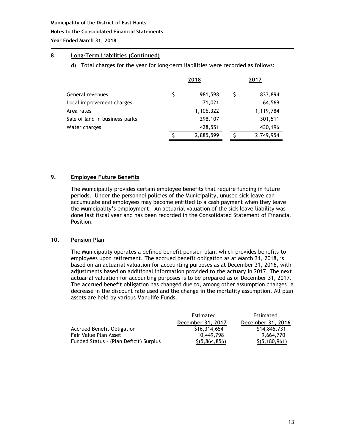#### **Notes to the Consolidated Financial Statements**

**Year Ended March 31, 2018**

#### **8. Long-Term Liabilities (Continued)**

#### d) Total charges for the year for long-term liabilities were recorded as follows:

|                                |   | 2018      | 2017 |           |  |
|--------------------------------|---|-----------|------|-----------|--|
| General revenues               | S | 981,598   | S    | 833,894   |  |
| Local improvement charges      |   | 71,021    |      | 64,569    |  |
| Area rates                     |   | 1,106,322 |      | 1,119,784 |  |
| Sale of land in business parks |   | 298,107   |      | 301,511   |  |
| Water charges                  |   | 428,551   |      | 430,196   |  |
|                                |   | 2,885,599 |      | 2,749,954 |  |

#### **9. Employee Future Benefits**

The Municipality provides certain employee benefits that require funding in future periods. Under the personnel policies of the Municipality, unused sick leave can accumulate and employees may become entitled to a cash payment when they leave the Municipality's employment. An actuarial valuation of the sick leave liability was done last fiscal year and has been recorded in the Consolidated Statement of Financial Position.

#### **10. Pension Plan**

.

The Municipality operates a defined benefit pension plan, which provides benefits to employees upon retirement. The accrued benefit obligation as at March 31, 2018, is based on an actuarial valuation for accounting purposes as at December 31, 2016, with adjustments based on additional information provided to the actuary in 2017. The next actuarial valuation for accounting purposes is to be prepared as of December 31, 2017. The accrued benefit obligation has changed due to, among other assumption changes, a decrease in the discount rate used and the change in the mortality assumption. All plan assets are held by various Manulife Funds.

|                                        | Estimated         | Estimated         |
|----------------------------------------|-------------------|-------------------|
|                                        | December 31, 2017 | December 31, 2016 |
| Accrued Benefit Obligation             | \$16,314,654      | \$14,845,731      |
| Fair Value Plan Asset                  | 10,449,798        | 9.664.770         |
| Funded Status - (Plan Deficit) Surplus | S(5, 864, 856)    | S(5, 180, 961)    |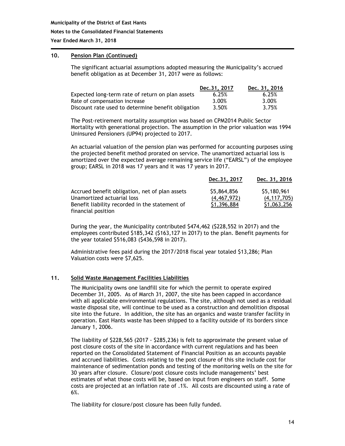#### **Notes to the Consolidated Financial Statements**

**Year Ended March 31, 2018**

#### **10. Pension Plan (Continued)**

The significant actuarial assumptions adopted measuring the Municipality's accrued benefit obligation as at December 31, 2017 were as follows:

|                                                    | Dec. 31, 2017 | Dec. 31, 2016 |
|----------------------------------------------------|---------------|---------------|
| Expected long-term rate of return on plan assets   | 6.25%         | 6.25%         |
| Rate of compensation increase                      | 3.00%         | 3.00%         |
| Discount rate used to determine benefit obligation | 3.50%         | 3.75%         |

The Post-retirement mortality assumption was based on CPM2014 Public Sector Mortality with generational projection. The assumption in the prior valuation was 1994 Uninsured Pensioners (UP94) projected to 2017.

An actuarial valuation of the pension plan was performed for accounting purposes using the projected benefit method prorated on service. The unamortized actuarial loss is amortized over the expected average remaining service life ("EARSL") of the employee group; EARSL in 2018 was 17 years and it was 17 years in 2017.

|                                                                              | Dec. 31, 2017                | Dec. 31, 2016              |
|------------------------------------------------------------------------------|------------------------------|----------------------------|
| Accrued benefit obligation, net of plan assets<br>Unamortized actuarial loss | \$5,864,856<br>(4, 467, 972) | \$5,180,961<br>(4.117.705) |
| Benefit liability recorded in the statement of<br>financial position         | \$1,396,884                  | \$1,063,256                |

During the year, the Municipality contributed \$474,462 (\$228,552 in 2017) and the employees contributed \$185,342 (\$163,127 in 2017) to the plan. Benefit payments for the year totaled \$516,083 (\$436,598 in 2017).

Administrative fees paid during the 2017/2018 fiscal year totaled \$13,286; Plan Valuation costs were \$7,625.

#### **11. Solid Waste Management Facilities Liabilities**

The Municipality owns one landfill site for which the permit to operate expired December 31, 2005. As of March 31, 2007, the site has been capped in accordance with all applicable environmental regulations. The site, although not used as a residual waste disposal site, will continue to be used as a construction and demolition disposal site into the future. In addition, the site has an organics and waste transfer facility in operation. East Hants waste has been shipped to a facility outside of its borders since January 1, 2006.

The liability of \$228,565 (2017 - \$285,236) is felt to approximate the present value of post closure costs of the site in accordance with current regulations and has been reported on the Consolidated Statement of Financial Position as an accounts payable and accrued liabilities. Costs relating to the post closure of this site include cost for maintenance of sedimentation ponds and testing of the monitoring wells on the site for 30 years after closure. Closure/post closure costs include managements' best estimates of what those costs will be, based on input from engineers on staff. Some costs are projected at an inflation rate of .1%. All costs are discounted using a rate of 6%.

The liability for closure/post closure has been fully funded.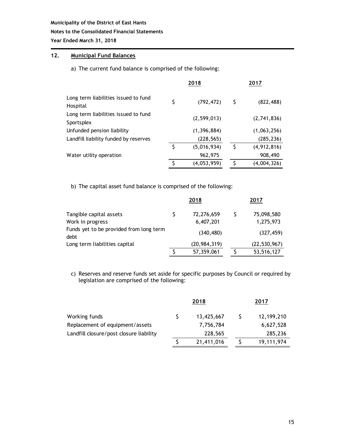#### **Notes to the Consolidated Financial Statements**

**Year Ended March 31, 2018**

#### **12. Municipal Fund Balances**

a) The current fund balance is comprised of the following:

|                                                    |    | 2018          | 2017 |               |  |
|----------------------------------------------------|----|---------------|------|---------------|--|
| Long term liabilities issued to fund<br>Hospital   | \$ | (792, 472)    | \$   | (822, 488)    |  |
| Long term liabilities issued to fund<br>Sportsplex |    | (2, 599, 013) |      | (2,741,836)   |  |
| Unfunded pension liability                         |    | (1,396,884)   |      | (1,063,256)   |  |
| Landfill liability funded by reserves              |    | (228, 565)    |      | (285, 236)    |  |
|                                                    | \$ | (5,016,934)   | \$   | (4, 912, 816) |  |
| Water utility operation                            |    | 962,975       |      | 908,490       |  |
|                                                    | ς  | (4,053,959)   | ς    | (4,004,326)   |  |

b) The capital asset fund balance is comprised of the following:

|                                                 |  | 2018                    | 2017 |                         |  |
|-------------------------------------------------|--|-------------------------|------|-------------------------|--|
| Tangible capital assets<br>Work in progress     |  | 72,276,659<br>6,407,201 | S    | 75,098,580<br>1,275,973 |  |
| Funds yet to be provided from long term<br>debt |  | (340, 480)              |      | (327, 459)              |  |
| Long term liabilities capital                   |  | (20, 984, 319)          |      | (22, 530, 967)          |  |
|                                                 |  | 57,359,061              |      | 53,516,127              |  |

c) Reserves and reserve funds set aside for specific purposes by Council or required by legislation are comprised of the following:

|                                         | 2018       | 2017 |            |  |
|-----------------------------------------|------------|------|------------|--|
| Working funds                           | 13,425,667 |      | 12,199,210 |  |
| Replacement of equipment/assets         | 7,756,784  |      | 6,627,528  |  |
| Landfill closure/post closure liability | 228,565    |      | 285,236    |  |
|                                         | 21,411,016 |      | 19,111,974 |  |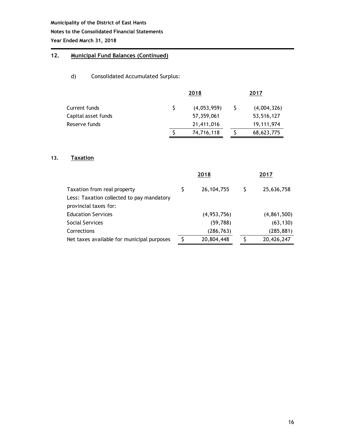# **Notes to the Consolidated Financial Statements**

**Year Ended March 31, 2018**

# **12. Municipal Fund Balances (Continued)**

# d) Consolidated Accumulated Surplus:

|                     | 2018        | 2017 |             |  |
|---------------------|-------------|------|-------------|--|
| Current funds       | (4,053,959) |      | (4,004,326) |  |
| Capital asset funds | 57,359,061  |      | 53,516,127  |  |
| Reserve funds       | 21,411,016  |      | 19,111,974  |  |
|                     | 74,716,118  |      | 68,623,775  |  |

#### **13. Taxation**

|                                                                                                   |  | 2018          | 2017 |               |  |
|---------------------------------------------------------------------------------------------------|--|---------------|------|---------------|--|
| Taxation from real property<br>Less: Taxation collected to pay mandatory<br>provincial taxes for: |  | 26, 104, 755  |      | 25,636,758    |  |
| <b>Education Services</b>                                                                         |  | (4, 953, 756) |      | (4, 861, 500) |  |
| Social Services                                                                                   |  | (59, 788)     |      | (63, 130)     |  |
| Corrections                                                                                       |  | (286,763)     |      | (285, 881)    |  |
| Net taxes available for municipal purposes                                                        |  | 20,804,448    |      | 20,426,247    |  |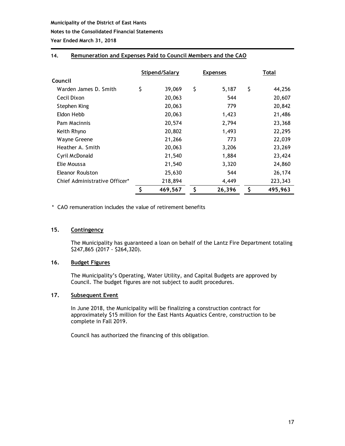#### **Notes to the Consolidated Financial Statements**

**Year Ended March 31, 2018**

#### **14. Remuneration and Expenses Paid to Council Members and the CAO**

|                               | Stipend/Salary | <b>Expenses</b> | Total         |
|-------------------------------|----------------|-----------------|---------------|
| Council                       |                |                 |               |
| Warden James D. Smith         | \$<br>39,069   | \$<br>5,187     | \$<br>44,256  |
| Cecil Dixon                   | 20,063         | 544             | 20,607        |
| Stephen King                  | 20,063         | 779             | 20,842        |
| Eldon Hebb                    | 20,063         | 1,423           | 21,486        |
| Pam Macinnis                  | 20,574         | 2,794           | 23,368        |
| Keith Rhyno                   | 20,802         | 1,493           | 22,295        |
| Wayne Greene                  | 21,266         | 773             | 22,039        |
| Heather A. Smith              | 20,063         | 3,206           | 23,269        |
| Cyril McDonald                | 21,540         | 1,884           | 23,424        |
| Elie Moussa                   | 21,540         | 3,320           | 24,860        |
| <b>Eleanor Roulston</b>       | 25,630         | 544             | 26,174        |
| Chief Administrative Officer* | 218,894        | 4,449           | 223,343       |
|                               | 469,567        | \$<br>26,396    | \$<br>495,963 |

\* CAO remuneration includes the value of retirement benefits

#### **15. Contingency**

The Municipality has guaranteed a loan on behalf of the Lantz Fire Department totaling \$247,865 (2017 - \$264,320).

#### **16. Budget Figures**

The Municipality's Operating, Water Utility, and Capital Budgets are approved by Council. The budget figures are not subject to audit procedures.

#### **17. Subsequent Event**

In June 2018, the Municipality will be finalizing a construction contract for approximately \$15 million for the East Hants Aquatics Centre, construction to be complete in Fall 2019.

Council has authorized the financing of this obligation.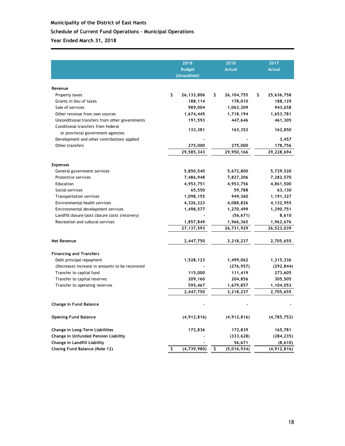# **Schedule of Current Fund Operations – Municipal Operations**

|                                                | 2018 |               |     | 2018          |               | 2017        |  |  |  |
|------------------------------------------------|------|---------------|-----|---------------|---------------|-------------|--|--|--|
|                                                |      | <b>Budget</b> |     | <b>Actual</b> | <b>Actual</b> |             |  |  |  |
|                                                |      | (Unaudited)   |     |               |               |             |  |  |  |
| Revenue                                        |      |               |     |               |               |             |  |  |  |
| Property taxes                                 | \$   | 26, 133, 806  | \$. | 26, 104, 755  | S.            | 25,636,758  |  |  |  |
| Grants in lieu of taxes                        |      | 188,114       |     | 178,010       |               | 188,129     |  |  |  |
| Sale of services                               |      | 989,004       |     | 1,063,209     |               | 943,658     |  |  |  |
| Other revenue from own sources                 |      | 1,674,445     |     | 1,718,194     |               | 1,653,781   |  |  |  |
| Unconditional transfers from other governments |      | 191,593       |     | 447,646       |               | 461,305     |  |  |  |
| Conditional transfers from federal             |      |               |     |               |               |             |  |  |  |
| or provincial government agencies              |      | 133,381       |     | 163,352       |               | 162,850     |  |  |  |
| Development and other contributions applied    |      |               |     |               |               | 3,457       |  |  |  |
| Other transfers                                |      | 275,000       |     | 275,000       |               | 178,756     |  |  |  |
|                                                |      | 29,585,343    |     | 29,950,166    |               | 29,228,694  |  |  |  |
|                                                |      |               |     |               |               |             |  |  |  |
| <b>Expenses</b><br>General government services |      | 5,850,540     |     | 5,672,800     |               | 5,729,520   |  |  |  |
| Protective services                            |      | 7,486,948     |     | 7,827,206     |               | 7,282,570   |  |  |  |
| Education                                      |      | 4,953,751     |     | 4,953,756     |               | 4,861,500   |  |  |  |
| Social services                                |      | 65,550        |     | 59,788        | 63,130        |             |  |  |  |
| <b>Transportation services</b>                 |      | 1,098,155     |     | 949,360       |               | 1,191,327   |  |  |  |
| Environmental health services                  |      | 4,326,223     |     | 4,088,826     |               | 4,132,955   |  |  |  |
| Environmental development services             |      | 1,498,577     |     | 1,270,499     |               | 1,290,751   |  |  |  |
| Landfill closure/post closure costs (recovery) |      |               |     | (56, 671)     |               | 8,610       |  |  |  |
| Recreation and cultural services               |      | 1,857,849     |     | 1,966,365     |               | 1,962,676   |  |  |  |
|                                                |      | 27,137,593    |     | 26,731,929    |               | 26,523,039  |  |  |  |
|                                                |      |               |     |               |               |             |  |  |  |
| <b>Net Revenue</b>                             |      | 2,447,750     |     | 3,218,237     |               | 2,705,655   |  |  |  |
| <b>Financing and Transfers</b>                 |      |               |     |               |               |             |  |  |  |
| Debt principal repayment                       |      | 1,528,123     |     | 1,499,062     |               | 1,315,336   |  |  |  |
| (Decrease) increase in amounts to be recovered |      |               |     | (276, 957)    |               | (292, 844)  |  |  |  |
| Transfer to capital fund                       |      | 115,000       |     | 111,419       |               | 273,605     |  |  |  |
| Transfer to capital reserves                   |      | 209,160       |     | 204,856       |               | 305,505     |  |  |  |
| Transfer to operating reserves                 |      | 595,467       |     | 1,679,857     |               | 1,104,053   |  |  |  |
|                                                |      | 2,447,750     |     | 3,218,237     |               | 2,705,655   |  |  |  |
| <b>Change in Fund Balance</b>                  |      |               |     |               |               |             |  |  |  |
|                                                |      |               |     |               |               |             |  |  |  |
| <b>Opening Fund Balance</b>                    |      | (4,912,816)   |     | (4,912,816)   |               | (4,785,752) |  |  |  |
| Change in Long-Term Liabilities                |      | 172,836       |     | 172,839       |               | 165,781     |  |  |  |
| Change in Unfunded Pension Liability           |      |               |     | (333, 628)    | (284, 235)    |             |  |  |  |
| Change in Landfill Liability                   |      |               |     | 56,671        |               | (8,610)     |  |  |  |
| <b>Closing Fund Balance (Note 12)</b>          | \$   | (4, 739, 980) | \$  | (5,016,934)   |               | (4,912,816) |  |  |  |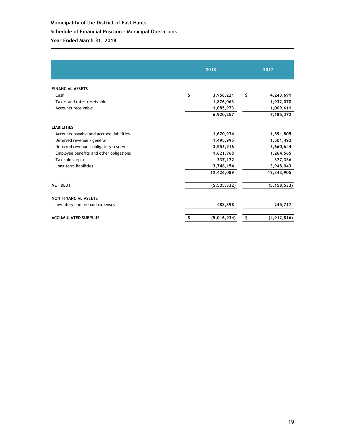# **Schedule of Financial Position – Municipal Operations**

|                                          |    | 2018          | 2017 |               |  |
|------------------------------------------|----|---------------|------|---------------|--|
| <b>FINANCIAL ASSETS</b>                  |    |               |      |               |  |
| Cash                                     | \$ | 3,958,221     | \$   | 4,243,691     |  |
| Taxes and rates receivable               |    | 1,876,063     |      | 1,932,070     |  |
| Accounts receivable                      |    | 1,085,973     |      | 1,009,611     |  |
|                                          |    | 6,920,257     |      | 7,185,372     |  |
| <b>LIABILITIES</b>                       |    |               |      |               |  |
| Accounts payable and accrued liabilities |    | 1,670,934     |      | 1,591,805     |  |
| Deferred revenue - general               |    | 1,495,995     |      | 1,501,492     |  |
| Deferred revenue - obligatory reserve    |    | 3,553,916     |      | 3,660,644     |  |
| Employee benefits and other obligations  |    | 1,621,968     |      | 1,264,565     |  |
| Tax sale surplus                         |    | 337,122       |      | 377,356       |  |
| Long term liabilities                    |    | 3,746,154     |      | 3,948,043     |  |
|                                          |    | 12,426,089    |      | 12,343,905    |  |
| <b>NET DEBT</b>                          |    | (5, 505, 832) |      | (5, 158, 533) |  |
| <b>NON FINANCIAL ASSETS</b>              |    |               |      |               |  |
| Inventory and prepaid expenses           |    | 488,898       |      | 245,717       |  |
| <b>ACCUMULATED SURPLUS</b>               | Ŝ  | (5,016,934)   | \$   | (4,912,816)   |  |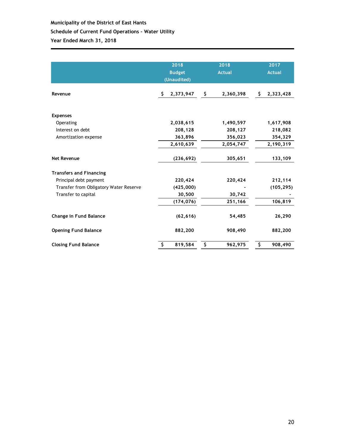|                                        |     | 2018<br><b>Budget</b><br>(Unaudited) |     | 2018<br><b>Actual</b> | 2017<br><b>Actual</b> |            |  |
|----------------------------------------|-----|--------------------------------------|-----|-----------------------|-----------------------|------------|--|
| Revenue                                | \$. | 2,373,947                            | \$. | 2,360,398             | \$.                   | 2,323,428  |  |
| <b>Expenses</b>                        |     |                                      |     |                       |                       |            |  |
| Operating                              |     | 2,038,615                            |     | 1,490,597             |                       | 1,617,908  |  |
| Interest on debt                       |     | 208,128                              |     | 208,127               |                       | 218,082    |  |
| Amortization expense                   |     | 363,896                              |     | 356,023               |                       | 354,329    |  |
|                                        |     | 2,610,639                            |     | 2,054,747             |                       | 2,190,319  |  |
| <b>Net Revenue</b>                     |     | (236, 692)                           |     | 305,651               |                       | 133,109    |  |
| <b>Transfers and Financing</b>         |     |                                      |     |                       |                       |            |  |
| Principal debt payment                 |     | 220,424                              |     | 220,424               |                       | 212,114    |  |
| Transfer from Obligatory Water Reserve |     | (425,000)                            |     |                       |                       | (105, 295) |  |
| Transfer to capital                    |     | 30,500                               |     | 30,742                |                       |            |  |
|                                        |     | (174, 076)                           |     | 251,166               |                       | 106,819    |  |
| Change in Fund Balance                 |     | (62, 616)                            |     | 54,485                |                       | 26,290     |  |
| <b>Opening Fund Balance</b>            |     | 882,200                              |     | 908,490               |                       | 882,200    |  |
| <b>Closing Fund Balance</b>            | \$  | 819,584                              | \$  | 962,975               | \$                    | 908,490    |  |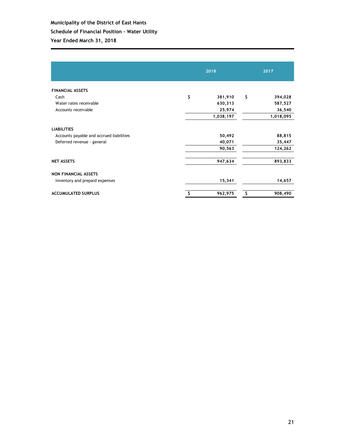# **Municipality of the District of East Hants Schedule of Financial Position – Water Utility**

|                                          | 2018          |    |           |  |
|------------------------------------------|---------------|----|-----------|--|
| <b>FINANCIAL ASSETS</b>                  |               |    |           |  |
| Cash                                     | \$<br>381,910 | \$ | 394,028   |  |
| Water rates receivable                   | 630,313       |    | 587,527   |  |
| Accounts receivable                      | 25,974        |    | 36,540    |  |
|                                          | 1,038,197     |    | 1,018,095 |  |
| <b>LIABILITIES</b>                       |               |    |           |  |
| Accounts payable and accrued liabilities | 50,492        |    | 88,815    |  |
| Deferred revenue - general               | 40,071        |    | 35,447    |  |
|                                          | 90,563        |    | 124,262   |  |
| <b>NET ASSETS</b>                        | 947,634       |    | 893,833   |  |
| <b>NON FINANCIAL ASSETS</b>              |               |    |           |  |
| Inventory and prepaid expenses           | 15,341        |    | 14,657    |  |
| <b>ACCUMULATED SURPLUS</b>               | \$<br>962,975 | \$ | 908,490   |  |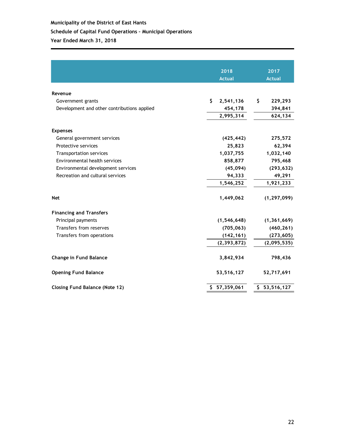# **Schedule of Capital Fund Operations – Municipal Operations**

|                                                | 2018            | 2017          |
|------------------------------------------------|-----------------|---------------|
|                                                | <b>Actual</b>   | <b>Actual</b> |
|                                                |                 |               |
| Revenue                                        |                 |               |
| Government grants                              | Š.<br>2,541,136 | \$<br>229,293 |
| Development and other contributions applied    | 454,178         | 394,841       |
|                                                | 2,995,314       | 624,134       |
|                                                |                 |               |
| <b>Expenses</b><br>General government services | (425, 442)      | 275,572       |
| Protective services                            | 25,823          | 62,394        |
| <b>Transportation services</b>                 | 1,037,755       | 1,032,140     |
| Environmental health services                  | 858,877         | 795,468       |
| Environmental development services             | (45, 094)       | (293, 632)    |
| Recreation and cultural services               | 94,333          | 49,291        |
|                                                | 1,546,252       | 1,921,233     |
| <b>Net</b>                                     | 1,449,062       | (1, 297, 099) |
| <b>Financing and Transfers</b>                 |                 |               |
| Principal payments                             | (1, 546, 648)   | (1, 361, 669) |
| Transfers from reserves                        | (705, 063)      | (460, 261)    |
| Transfers from operations                      | (142, 161)      | (273, 605)    |
|                                                | (2, 393, 872)   | (2,095,535)   |
| <b>Change in Fund Balance</b>                  | 3,842,934       | 798,436       |
| <b>Opening Fund Balance</b>                    | 53,516,127      | 52,717,691    |
| <b>Closing Fund Balance (Note 12)</b>          | \$57,359,061    | \$53,516,127  |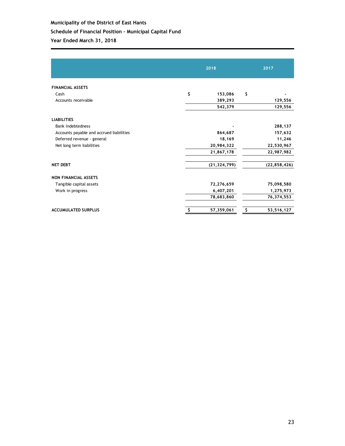# **Schedule of Financial Position – Municipal Capital Fund**

|                                          | 2018           | 2017             |  |  |
|------------------------------------------|----------------|------------------|--|--|
| <b>FINANCIAL ASSETS</b>                  |                |                  |  |  |
| Cash                                     | \$<br>153,086  | \$               |  |  |
| Accounts receivable                      | 389,293        | 129,556          |  |  |
|                                          | 542,379        | 129,556          |  |  |
| <b>LIABILITIES</b>                       |                |                  |  |  |
| <b>Bank Indebtedness</b>                 |                | 288,137          |  |  |
| Accounts payable and accrued liabilities | 864,687        | 157,632          |  |  |
| Deferred revenue - general               | 18,169         | 11,246           |  |  |
| Net long term liabilities                | 20,984,322     | 22,530,967       |  |  |
|                                          | 21,867,178     | 22,987,982       |  |  |
| <b>NET DEBT</b>                          | (21, 324, 799) | (22, 858, 426)   |  |  |
| <b>NON FINANCIAL ASSETS</b>              |                |                  |  |  |
| Tangible capital assets                  | 72,276,659     | 75,098,580       |  |  |
| Work in progress                         | 6,407,201      | 1,275,973        |  |  |
|                                          | 78,683,860     | 76,374,553       |  |  |
| <b>ACCUMULATED SURPLUS</b>               | 57,359,061     | \$<br>53,516,127 |  |  |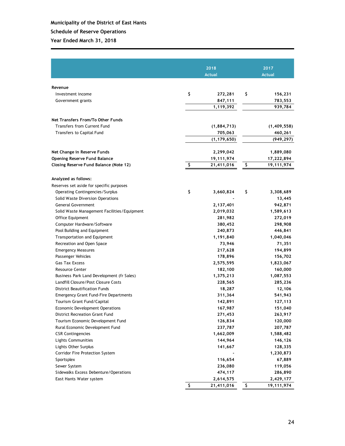# **Municipality of the District of East Hants Schedule of Reserve Operations**

| 2017<br>2018<br><b>Actual</b><br><b>Actual</b><br>Revenue<br>\$<br>272,281<br>\$<br>156,231<br>Investment income<br>783,553<br>Government grants<br>847,111<br>1,119,392<br>939,784<br>Net Transfers From/To Other Funds<br><b>Transfers from Current Fund</b><br>(1,884,713)<br>(1,409,558)<br><b>Transfers to Capital Fund</b><br>705,063<br>460,261<br>(1, 179, 650)<br>(949, 297)<br>2,299,042<br>Net Change in Reserve Funds<br>1,889,080<br><b>Opening Reserve Fund Balance</b><br>19,111,974<br>17,222,894<br>\$<br>\$<br>Closing Reserve Fund Balance (Note 12)<br>21,411,016<br>19,111,974<br>Analyzed as follows:<br>Reserves set aside for specific purposes<br>\$<br><b>Operating Contingencies/Surplus</b><br>3,660,824<br>3,308,689<br>Ş<br>Solid Waste Diversion Operations<br>13,445<br><b>General Government</b><br>2,137,401<br>942,871<br>Solid Waste Management Facilities/Equipment<br>2,019,032<br>1,589,613<br>Office Equipment<br>281,982<br>272,019<br>Computer Hardware/Software<br>380,452<br>298,908<br>Pool Building and Equipment<br>240,873<br>446,841<br>Transportation and Equipment<br>1,191,840<br>1,040,046<br>Recreation and Open Space<br>73,946<br>71,351<br>217,628<br>194,899<br><b>Emergency Measures</b><br>Passenger Vehicles<br>178,896<br>156,702<br><b>Gas Tax Excess</b><br>2,575,595<br>1,823,067<br><b>Resource Center</b><br>182,100<br>160,000<br>Business Park Land Development (fr Sales)<br>1,375,213<br>1,087,553<br>Landfill Closure/Post Closure Costs<br>285,236<br>228,565<br><b>District Beautification Funds</b><br>18,287<br>12,106<br><b>Emergency Grant Fund-Fire Departments</b><br>311,364<br>541,943<br>Tourism Grant Fund/Capital<br>142,891<br>127,113<br>167,987<br>151,040<br>Economic Development Operations<br>District Recreation Grant Fund<br>271,453<br>263,917<br>Tourism Economic Development Fund<br>126,834<br>120,000<br>Rural Economic Development Fund<br>237,787<br>207,787<br><b>CSR Contingencies</b><br>1,662,009<br>1,588,482<br><b>Lights Communities</b><br>144,964<br>146,126<br>Lights Other Surplus<br>141,667<br>128,335<br>Corridor Fire Protection System<br>1,230,873<br>116,654<br>Sportsplex<br>67,889<br>Sewer System<br>236,080<br>119,056<br>Sidewalks Excess Debenture/Operations<br>474,117<br>286,890<br>East Hants Water system<br>2,614,575<br>2,429,177 |    |            |    |            |
|-----------------------------------------------------------------------------------------------------------------------------------------------------------------------------------------------------------------------------------------------------------------------------------------------------------------------------------------------------------------------------------------------------------------------------------------------------------------------------------------------------------------------------------------------------------------------------------------------------------------------------------------------------------------------------------------------------------------------------------------------------------------------------------------------------------------------------------------------------------------------------------------------------------------------------------------------------------------------------------------------------------------------------------------------------------------------------------------------------------------------------------------------------------------------------------------------------------------------------------------------------------------------------------------------------------------------------------------------------------------------------------------------------------------------------------------------------------------------------------------------------------------------------------------------------------------------------------------------------------------------------------------------------------------------------------------------------------------------------------------------------------------------------------------------------------------------------------------------------------------------------------------------------------------------------------------------------------------------------------------------------------------------------------------------------------------------------------------------------------------------------------------------------------------------------------------------------------------------------------------------------------------------------------------------------------------------------------------------------------------------|----|------------|----|------------|
|                                                                                                                                                                                                                                                                                                                                                                                                                                                                                                                                                                                                                                                                                                                                                                                                                                                                                                                                                                                                                                                                                                                                                                                                                                                                                                                                                                                                                                                                                                                                                                                                                                                                                                                                                                                                                                                                                                                                                                                                                                                                                                                                                                                                                                                                                                                                                                       |    |            |    |            |
|                                                                                                                                                                                                                                                                                                                                                                                                                                                                                                                                                                                                                                                                                                                                                                                                                                                                                                                                                                                                                                                                                                                                                                                                                                                                                                                                                                                                                                                                                                                                                                                                                                                                                                                                                                                                                                                                                                                                                                                                                                                                                                                                                                                                                                                                                                                                                                       |    |            |    |            |
|                                                                                                                                                                                                                                                                                                                                                                                                                                                                                                                                                                                                                                                                                                                                                                                                                                                                                                                                                                                                                                                                                                                                                                                                                                                                                                                                                                                                                                                                                                                                                                                                                                                                                                                                                                                                                                                                                                                                                                                                                                                                                                                                                                                                                                                                                                                                                                       |    |            |    |            |
|                                                                                                                                                                                                                                                                                                                                                                                                                                                                                                                                                                                                                                                                                                                                                                                                                                                                                                                                                                                                                                                                                                                                                                                                                                                                                                                                                                                                                                                                                                                                                                                                                                                                                                                                                                                                                                                                                                                                                                                                                                                                                                                                                                                                                                                                                                                                                                       |    |            |    |            |
|                                                                                                                                                                                                                                                                                                                                                                                                                                                                                                                                                                                                                                                                                                                                                                                                                                                                                                                                                                                                                                                                                                                                                                                                                                                                                                                                                                                                                                                                                                                                                                                                                                                                                                                                                                                                                                                                                                                                                                                                                                                                                                                                                                                                                                                                                                                                                                       |    |            |    |            |
|                                                                                                                                                                                                                                                                                                                                                                                                                                                                                                                                                                                                                                                                                                                                                                                                                                                                                                                                                                                                                                                                                                                                                                                                                                                                                                                                                                                                                                                                                                                                                                                                                                                                                                                                                                                                                                                                                                                                                                                                                                                                                                                                                                                                                                                                                                                                                                       |    |            |    |            |
|                                                                                                                                                                                                                                                                                                                                                                                                                                                                                                                                                                                                                                                                                                                                                                                                                                                                                                                                                                                                                                                                                                                                                                                                                                                                                                                                                                                                                                                                                                                                                                                                                                                                                                                                                                                                                                                                                                                                                                                                                                                                                                                                                                                                                                                                                                                                                                       |    |            |    |            |
|                                                                                                                                                                                                                                                                                                                                                                                                                                                                                                                                                                                                                                                                                                                                                                                                                                                                                                                                                                                                                                                                                                                                                                                                                                                                                                                                                                                                                                                                                                                                                                                                                                                                                                                                                                                                                                                                                                                                                                                                                                                                                                                                                                                                                                                                                                                                                                       |    |            |    |            |
|                                                                                                                                                                                                                                                                                                                                                                                                                                                                                                                                                                                                                                                                                                                                                                                                                                                                                                                                                                                                                                                                                                                                                                                                                                                                                                                                                                                                                                                                                                                                                                                                                                                                                                                                                                                                                                                                                                                                                                                                                                                                                                                                                                                                                                                                                                                                                                       |    |            |    |            |
|                                                                                                                                                                                                                                                                                                                                                                                                                                                                                                                                                                                                                                                                                                                                                                                                                                                                                                                                                                                                                                                                                                                                                                                                                                                                                                                                                                                                                                                                                                                                                                                                                                                                                                                                                                                                                                                                                                                                                                                                                                                                                                                                                                                                                                                                                                                                                                       |    |            |    |            |
|                                                                                                                                                                                                                                                                                                                                                                                                                                                                                                                                                                                                                                                                                                                                                                                                                                                                                                                                                                                                                                                                                                                                                                                                                                                                                                                                                                                                                                                                                                                                                                                                                                                                                                                                                                                                                                                                                                                                                                                                                                                                                                                                                                                                                                                                                                                                                                       |    |            |    |            |
|                                                                                                                                                                                                                                                                                                                                                                                                                                                                                                                                                                                                                                                                                                                                                                                                                                                                                                                                                                                                                                                                                                                                                                                                                                                                                                                                                                                                                                                                                                                                                                                                                                                                                                                                                                                                                                                                                                                                                                                                                                                                                                                                                                                                                                                                                                                                                                       |    |            |    |            |
|                                                                                                                                                                                                                                                                                                                                                                                                                                                                                                                                                                                                                                                                                                                                                                                                                                                                                                                                                                                                                                                                                                                                                                                                                                                                                                                                                                                                                                                                                                                                                                                                                                                                                                                                                                                                                                                                                                                                                                                                                                                                                                                                                                                                                                                                                                                                                                       |    |            |    |            |
|                                                                                                                                                                                                                                                                                                                                                                                                                                                                                                                                                                                                                                                                                                                                                                                                                                                                                                                                                                                                                                                                                                                                                                                                                                                                                                                                                                                                                                                                                                                                                                                                                                                                                                                                                                                                                                                                                                                                                                                                                                                                                                                                                                                                                                                                                                                                                                       |    |            |    |            |
|                                                                                                                                                                                                                                                                                                                                                                                                                                                                                                                                                                                                                                                                                                                                                                                                                                                                                                                                                                                                                                                                                                                                                                                                                                                                                                                                                                                                                                                                                                                                                                                                                                                                                                                                                                                                                                                                                                                                                                                                                                                                                                                                                                                                                                                                                                                                                                       |    |            |    |            |
|                                                                                                                                                                                                                                                                                                                                                                                                                                                                                                                                                                                                                                                                                                                                                                                                                                                                                                                                                                                                                                                                                                                                                                                                                                                                                                                                                                                                                                                                                                                                                                                                                                                                                                                                                                                                                                                                                                                                                                                                                                                                                                                                                                                                                                                                                                                                                                       |    |            |    |            |
|                                                                                                                                                                                                                                                                                                                                                                                                                                                                                                                                                                                                                                                                                                                                                                                                                                                                                                                                                                                                                                                                                                                                                                                                                                                                                                                                                                                                                                                                                                                                                                                                                                                                                                                                                                                                                                                                                                                                                                                                                                                                                                                                                                                                                                                                                                                                                                       |    |            |    |            |
|                                                                                                                                                                                                                                                                                                                                                                                                                                                                                                                                                                                                                                                                                                                                                                                                                                                                                                                                                                                                                                                                                                                                                                                                                                                                                                                                                                                                                                                                                                                                                                                                                                                                                                                                                                                                                                                                                                                                                                                                                                                                                                                                                                                                                                                                                                                                                                       |    |            |    |            |
|                                                                                                                                                                                                                                                                                                                                                                                                                                                                                                                                                                                                                                                                                                                                                                                                                                                                                                                                                                                                                                                                                                                                                                                                                                                                                                                                                                                                                                                                                                                                                                                                                                                                                                                                                                                                                                                                                                                                                                                                                                                                                                                                                                                                                                                                                                                                                                       |    |            |    |            |
|                                                                                                                                                                                                                                                                                                                                                                                                                                                                                                                                                                                                                                                                                                                                                                                                                                                                                                                                                                                                                                                                                                                                                                                                                                                                                                                                                                                                                                                                                                                                                                                                                                                                                                                                                                                                                                                                                                                                                                                                                                                                                                                                                                                                                                                                                                                                                                       |    |            |    |            |
|                                                                                                                                                                                                                                                                                                                                                                                                                                                                                                                                                                                                                                                                                                                                                                                                                                                                                                                                                                                                                                                                                                                                                                                                                                                                                                                                                                                                                                                                                                                                                                                                                                                                                                                                                                                                                                                                                                                                                                                                                                                                                                                                                                                                                                                                                                                                                                       |    |            |    |            |
|                                                                                                                                                                                                                                                                                                                                                                                                                                                                                                                                                                                                                                                                                                                                                                                                                                                                                                                                                                                                                                                                                                                                                                                                                                                                                                                                                                                                                                                                                                                                                                                                                                                                                                                                                                                                                                                                                                                                                                                                                                                                                                                                                                                                                                                                                                                                                                       |    |            |    |            |
|                                                                                                                                                                                                                                                                                                                                                                                                                                                                                                                                                                                                                                                                                                                                                                                                                                                                                                                                                                                                                                                                                                                                                                                                                                                                                                                                                                                                                                                                                                                                                                                                                                                                                                                                                                                                                                                                                                                                                                                                                                                                                                                                                                                                                                                                                                                                                                       |    |            |    |            |
|                                                                                                                                                                                                                                                                                                                                                                                                                                                                                                                                                                                                                                                                                                                                                                                                                                                                                                                                                                                                                                                                                                                                                                                                                                                                                                                                                                                                                                                                                                                                                                                                                                                                                                                                                                                                                                                                                                                                                                                                                                                                                                                                                                                                                                                                                                                                                                       |    |            |    |            |
|                                                                                                                                                                                                                                                                                                                                                                                                                                                                                                                                                                                                                                                                                                                                                                                                                                                                                                                                                                                                                                                                                                                                                                                                                                                                                                                                                                                                                                                                                                                                                                                                                                                                                                                                                                                                                                                                                                                                                                                                                                                                                                                                                                                                                                                                                                                                                                       |    |            |    |            |
|                                                                                                                                                                                                                                                                                                                                                                                                                                                                                                                                                                                                                                                                                                                                                                                                                                                                                                                                                                                                                                                                                                                                                                                                                                                                                                                                                                                                                                                                                                                                                                                                                                                                                                                                                                                                                                                                                                                                                                                                                                                                                                                                                                                                                                                                                                                                                                       |    |            |    |            |
|                                                                                                                                                                                                                                                                                                                                                                                                                                                                                                                                                                                                                                                                                                                                                                                                                                                                                                                                                                                                                                                                                                                                                                                                                                                                                                                                                                                                                                                                                                                                                                                                                                                                                                                                                                                                                                                                                                                                                                                                                                                                                                                                                                                                                                                                                                                                                                       |    |            |    |            |
|                                                                                                                                                                                                                                                                                                                                                                                                                                                                                                                                                                                                                                                                                                                                                                                                                                                                                                                                                                                                                                                                                                                                                                                                                                                                                                                                                                                                                                                                                                                                                                                                                                                                                                                                                                                                                                                                                                                                                                                                                                                                                                                                                                                                                                                                                                                                                                       |    |            |    |            |
|                                                                                                                                                                                                                                                                                                                                                                                                                                                                                                                                                                                                                                                                                                                                                                                                                                                                                                                                                                                                                                                                                                                                                                                                                                                                                                                                                                                                                                                                                                                                                                                                                                                                                                                                                                                                                                                                                                                                                                                                                                                                                                                                                                                                                                                                                                                                                                       |    |            |    |            |
|                                                                                                                                                                                                                                                                                                                                                                                                                                                                                                                                                                                                                                                                                                                                                                                                                                                                                                                                                                                                                                                                                                                                                                                                                                                                                                                                                                                                                                                                                                                                                                                                                                                                                                                                                                                                                                                                                                                                                                                                                                                                                                                                                                                                                                                                                                                                                                       |    |            |    |            |
|                                                                                                                                                                                                                                                                                                                                                                                                                                                                                                                                                                                                                                                                                                                                                                                                                                                                                                                                                                                                                                                                                                                                                                                                                                                                                                                                                                                                                                                                                                                                                                                                                                                                                                                                                                                                                                                                                                                                                                                                                                                                                                                                                                                                                                                                                                                                                                       |    |            |    |            |
|                                                                                                                                                                                                                                                                                                                                                                                                                                                                                                                                                                                                                                                                                                                                                                                                                                                                                                                                                                                                                                                                                                                                                                                                                                                                                                                                                                                                                                                                                                                                                                                                                                                                                                                                                                                                                                                                                                                                                                                                                                                                                                                                                                                                                                                                                                                                                                       |    |            |    |            |
|                                                                                                                                                                                                                                                                                                                                                                                                                                                                                                                                                                                                                                                                                                                                                                                                                                                                                                                                                                                                                                                                                                                                                                                                                                                                                                                                                                                                                                                                                                                                                                                                                                                                                                                                                                                                                                                                                                                                                                                                                                                                                                                                                                                                                                                                                                                                                                       |    |            |    |            |
|                                                                                                                                                                                                                                                                                                                                                                                                                                                                                                                                                                                                                                                                                                                                                                                                                                                                                                                                                                                                                                                                                                                                                                                                                                                                                                                                                                                                                                                                                                                                                                                                                                                                                                                                                                                                                                                                                                                                                                                                                                                                                                                                                                                                                                                                                                                                                                       |    |            |    |            |
|                                                                                                                                                                                                                                                                                                                                                                                                                                                                                                                                                                                                                                                                                                                                                                                                                                                                                                                                                                                                                                                                                                                                                                                                                                                                                                                                                                                                                                                                                                                                                                                                                                                                                                                                                                                                                                                                                                                                                                                                                                                                                                                                                                                                                                                                                                                                                                       |    |            |    |            |
|                                                                                                                                                                                                                                                                                                                                                                                                                                                                                                                                                                                                                                                                                                                                                                                                                                                                                                                                                                                                                                                                                                                                                                                                                                                                                                                                                                                                                                                                                                                                                                                                                                                                                                                                                                                                                                                                                                                                                                                                                                                                                                                                                                                                                                                                                                                                                                       |    |            |    |            |
|                                                                                                                                                                                                                                                                                                                                                                                                                                                                                                                                                                                                                                                                                                                                                                                                                                                                                                                                                                                                                                                                                                                                                                                                                                                                                                                                                                                                                                                                                                                                                                                                                                                                                                                                                                                                                                                                                                                                                                                                                                                                                                                                                                                                                                                                                                                                                                       |    |            |    |            |
|                                                                                                                                                                                                                                                                                                                                                                                                                                                                                                                                                                                                                                                                                                                                                                                                                                                                                                                                                                                                                                                                                                                                                                                                                                                                                                                                                                                                                                                                                                                                                                                                                                                                                                                                                                                                                                                                                                                                                                                                                                                                                                                                                                                                                                                                                                                                                                       |    |            |    |            |
|                                                                                                                                                                                                                                                                                                                                                                                                                                                                                                                                                                                                                                                                                                                                                                                                                                                                                                                                                                                                                                                                                                                                                                                                                                                                                                                                                                                                                                                                                                                                                                                                                                                                                                                                                                                                                                                                                                                                                                                                                                                                                                                                                                                                                                                                                                                                                                       |    |            |    |            |
|                                                                                                                                                                                                                                                                                                                                                                                                                                                                                                                                                                                                                                                                                                                                                                                                                                                                                                                                                                                                                                                                                                                                                                                                                                                                                                                                                                                                                                                                                                                                                                                                                                                                                                                                                                                                                                                                                                                                                                                                                                                                                                                                                                                                                                                                                                                                                                       |    |            |    |            |
|                                                                                                                                                                                                                                                                                                                                                                                                                                                                                                                                                                                                                                                                                                                                                                                                                                                                                                                                                                                                                                                                                                                                                                                                                                                                                                                                                                                                                                                                                                                                                                                                                                                                                                                                                                                                                                                                                                                                                                                                                                                                                                                                                                                                                                                                                                                                                                       |    |            |    |            |
|                                                                                                                                                                                                                                                                                                                                                                                                                                                                                                                                                                                                                                                                                                                                                                                                                                                                                                                                                                                                                                                                                                                                                                                                                                                                                                                                                                                                                                                                                                                                                                                                                                                                                                                                                                                                                                                                                                                                                                                                                                                                                                                                                                                                                                                                                                                                                                       |    |            |    |            |
|                                                                                                                                                                                                                                                                                                                                                                                                                                                                                                                                                                                                                                                                                                                                                                                                                                                                                                                                                                                                                                                                                                                                                                                                                                                                                                                                                                                                                                                                                                                                                                                                                                                                                                                                                                                                                                                                                                                                                                                                                                                                                                                                                                                                                                                                                                                                                                       |    |            |    |            |
|                                                                                                                                                                                                                                                                                                                                                                                                                                                                                                                                                                                                                                                                                                                                                                                                                                                                                                                                                                                                                                                                                                                                                                                                                                                                                                                                                                                                                                                                                                                                                                                                                                                                                                                                                                                                                                                                                                                                                                                                                                                                                                                                                                                                                                                                                                                                                                       |    |            |    |            |
|                                                                                                                                                                                                                                                                                                                                                                                                                                                                                                                                                                                                                                                                                                                                                                                                                                                                                                                                                                                                                                                                                                                                                                                                                                                                                                                                                                                                                                                                                                                                                                                                                                                                                                                                                                                                                                                                                                                                                                                                                                                                                                                                                                                                                                                                                                                                                                       |    |            |    |            |
|                                                                                                                                                                                                                                                                                                                                                                                                                                                                                                                                                                                                                                                                                                                                                                                                                                                                                                                                                                                                                                                                                                                                                                                                                                                                                                                                                                                                                                                                                                                                                                                                                                                                                                                                                                                                                                                                                                                                                                                                                                                                                                                                                                                                                                                                                                                                                                       |    |            |    |            |
|                                                                                                                                                                                                                                                                                                                                                                                                                                                                                                                                                                                                                                                                                                                                                                                                                                                                                                                                                                                                                                                                                                                                                                                                                                                                                                                                                                                                                                                                                                                                                                                                                                                                                                                                                                                                                                                                                                                                                                                                                                                                                                                                                                                                                                                                                                                                                                       |    |            |    |            |
|                                                                                                                                                                                                                                                                                                                                                                                                                                                                                                                                                                                                                                                                                                                                                                                                                                                                                                                                                                                                                                                                                                                                                                                                                                                                                                                                                                                                                                                                                                                                                                                                                                                                                                                                                                                                                                                                                                                                                                                                                                                                                                                                                                                                                                                                                                                                                                       | \$ | 21,411,016 | \$ | 19,111,974 |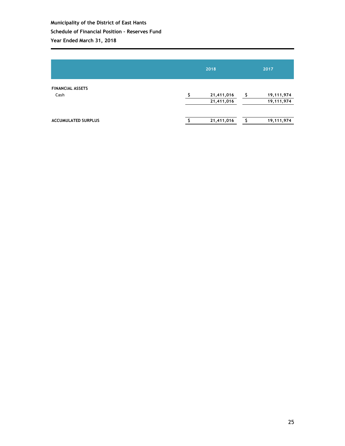# **Municipality of the District of East Hants Schedule of Financial Position – Reserves Fund Year Ended March 31, 2018**

| 2018       | 2017       |  |  |  |
|------------|------------|--|--|--|
|            |            |  |  |  |
|            |            |  |  |  |
| 21,411,016 | 19,111,974 |  |  |  |
| 21,411,016 | 19,111,974 |  |  |  |
| 21,411,016 | 19,111,974 |  |  |  |
|            |            |  |  |  |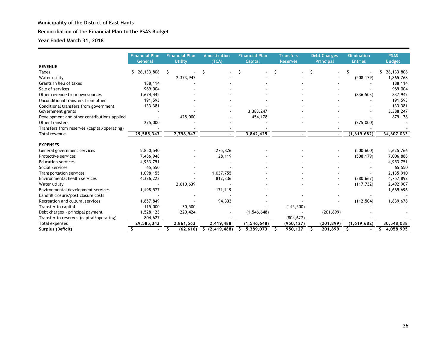#### **Reconciliation of the Financial Plan to the PSAS Budget**

|                                             | <b>Financial Plan</b><br>General | <b>Financial Plan</b><br><b>Utility</b> | <b>Amortization</b><br>(TCA) | <b>Financial Plan</b><br><b>Capital</b> | <b>Transfers</b><br><b>Reserves</b> | <b>Debt Charges</b><br><b>Principal</b> | <b>Elimination</b><br><b>Entries</b> | <b>PSAS</b><br><b>Budget</b> |
|---------------------------------------------|----------------------------------|-----------------------------------------|------------------------------|-----------------------------------------|-------------------------------------|-----------------------------------------|--------------------------------------|------------------------------|
| <b>REVENUE</b>                              |                                  |                                         |                              |                                         |                                     |                                         |                                      |                              |
| Taxes                                       | \$26,133,806                     | -S                                      | S                            | S                                       | Ś                                   | S                                       |                                      | 26, 133, 806<br>S            |
| Water utility                               |                                  | 2,373,947                               |                              |                                         |                                     |                                         | (508, 179)                           | 1,865,768                    |
| Grants in lieu of taxes                     | 188,114                          |                                         |                              |                                         |                                     |                                         |                                      | 188,114                      |
| Sale of services                            | 989,004                          |                                         |                              |                                         |                                     |                                         |                                      | 989,004                      |
| Other revenue from own sources              | 1,674,445                        |                                         |                              |                                         |                                     |                                         | (836, 503)                           | 837,942                      |
| Unconditional transfers from other          | 191,593                          |                                         |                              |                                         |                                     |                                         |                                      | 191,593                      |
| Conditional transfers from government       | 133,381                          |                                         |                              |                                         |                                     |                                         |                                      | 133,381                      |
| Government grants                           |                                  |                                         |                              | 3,388,247                               |                                     |                                         |                                      | 3,388,247                    |
| Development and other contributions applied |                                  | 425,000                                 |                              | 454,178                                 |                                     |                                         |                                      | 879,178                      |
| Other transfers                             | 275,000                          |                                         |                              |                                         |                                     |                                         | (275,000)                            |                              |
| Transfers from reserves (capital/operating) |                                  |                                         |                              |                                         |                                     |                                         |                                      |                              |
| Total revenue                               | 29,585,343                       | 2,798,947                               | $\overline{\phantom{a}}$     | 3,842,425                               | $\blacksquare$                      | $\sim$                                  | (1,619,682)                          | 34,607,033                   |
| <b>EXPENSES</b>                             |                                  |                                         |                              |                                         |                                     |                                         |                                      |                              |
| General government services                 | 5,850,540                        |                                         | 275,826                      |                                         |                                     |                                         | (500, 600)                           | 5,625,766                    |
| Protective services                         | 7,486,948                        |                                         | 28,119                       |                                         |                                     |                                         | (508, 179)                           | 7,006,888                    |
| <b>Education services</b>                   | 4,953,751                        |                                         |                              |                                         |                                     |                                         |                                      | 4,953,751                    |
| Social Services                             | 65,550                           |                                         |                              |                                         |                                     |                                         |                                      | 65,550                       |
| <b>Transportation services</b>              | 1,098,155                        |                                         | 1,037,755                    |                                         |                                     |                                         |                                      | 2,135,910                    |
| Environmental health services               | 4,326,223                        |                                         | 812,336                      |                                         |                                     |                                         | (380, 667)                           | 4,757,892                    |
| Water utility                               |                                  | 2,610,639                               |                              |                                         |                                     |                                         | (117, 732)                           | 2,492,907                    |
| Environmental development services          | 1,498,577                        |                                         | 171,119                      |                                         |                                     |                                         |                                      | 1,669,696                    |
| Landfill closure/post closure costs         |                                  |                                         |                              |                                         |                                     |                                         |                                      |                              |
| Recreation and cultural services            | 1,857,849                        |                                         | 94,333                       |                                         |                                     |                                         | (112, 504)                           | 1,839,678                    |
| Transfer to capital                         | 115,000                          | 30,500                                  |                              |                                         | (145, 500)                          |                                         |                                      |                              |
| Debt charges - principal payment            | 1,528,123                        | 220,424                                 |                              | (1, 546, 648)                           |                                     | (201, 899)                              |                                      |                              |
| Transfer to reserves (capital/operating)    | 804,627                          |                                         |                              |                                         | (804, 627)                          |                                         |                                      |                              |
| Total expenses                              | 29,585,343                       | 2,861,563                               | 2,419,488                    | (1, 546, 648)                           | (950, 127)                          | (201, 899)                              | (1,619,682)                          | 30,548,038                   |
| Surplus (Deficit)                           |                                  | \$<br>(62, 616)                         | \$ (2, 419, 488)             | 5,389,073                               | Ŝ.<br>950,127                       | 201,899                                 |                                      | \$4,058,995                  |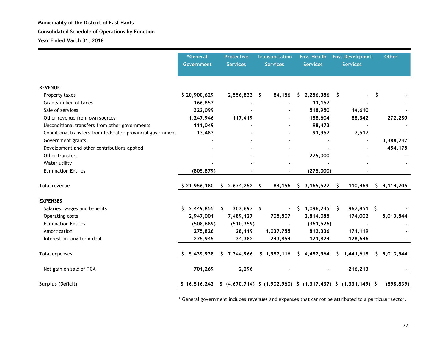#### **Consolidated Schedule of Operations by Function**

**Year Ended March 31, 2018**

|                                                             | *General<br>Government |    | Protective<br><b>Services</b> | <b>Transportation</b><br><b>Services</b> | Env. Health<br><b>Services</b> |           | Env. Developmnt<br><b>Services</b>                                                                                    |    | Other       |
|-------------------------------------------------------------|------------------------|----|-------------------------------|------------------------------------------|--------------------------------|-----------|-----------------------------------------------------------------------------------------------------------------------|----|-------------|
| <b>REVENUE</b>                                              |                        |    |                               |                                          |                                |           |                                                                                                                       |    |             |
| Property taxes                                              | \$20,900,629           |    | 2,556,833 \$                  | 84,156                                   | \$2,256,386                    | $\sim$ \$ |                                                                                                                       | \$ |             |
| Grants in lieu of taxes                                     | 166,853                |    |                               |                                          | 11,157                         |           |                                                                                                                       |    |             |
| Sale of services                                            | 322,099                |    |                               |                                          | 518,950                        |           | 14,610                                                                                                                |    |             |
| Other revenue from own sources                              | 1,247,946              |    | 117,419                       |                                          | 188,604                        |           | 88,342                                                                                                                |    | 272,280     |
| Unconditional transfers from other governments              | 111,049                |    |                               |                                          | 98,473                         |           |                                                                                                                       |    |             |
| Conditional transfers from federal or provincial government | 13,483                 |    |                               |                                          | 91,957                         |           | 7,517                                                                                                                 |    |             |
| Government grants                                           |                        |    |                               |                                          |                                |           |                                                                                                                       |    | 3,388,247   |
| Development and other contributions applied                 |                        |    |                               |                                          |                                |           |                                                                                                                       |    | 454,178     |
| Other transfers                                             |                        |    |                               |                                          | 275,000                        |           |                                                                                                                       |    |             |
| Water utility                                               |                        |    |                               |                                          |                                |           |                                                                                                                       |    |             |
| <b>Elimination Entries</b>                                  | (805, 879)             |    |                               |                                          | (275,000)                      |           |                                                                                                                       |    |             |
| Total revenue                                               | \$21,956,180           |    | \$2,674,252                   | 84,156                                   | \$3,165,527                    | S.        | 110,469                                                                                                               |    | \$4,114,705 |
| <b>EXPENSES</b>                                             |                        |    |                               |                                          |                                |           |                                                                                                                       |    |             |
| Salaries, wages and benefits                                | \$2,449,855            | -S | 303,697 \$                    | $\blacksquare$                           | \$1,096,245                    |           | $967,851$ \$                                                                                                          |    |             |
| Operating costs                                             | 2,947,001              |    | 7,489,127                     | 705,507                                  | 2,814,085                      |           | 174,002                                                                                                               |    | 5,013,544   |
| <b>Elimination Entries</b>                                  | (508, 689)             |    | (510, 359)                    |                                          | (361, 526)                     |           |                                                                                                                       |    |             |
| Amortization                                                | 275,826                |    | 28,119                        | 1,037,755                                | 812,336                        |           | 171,119                                                                                                               |    |             |
| Interest on long term debt                                  | 275,945                |    | 34,382                        | 243,854                                  | 121,824                        |           | 128,646                                                                                                               |    |             |
| Total expenses                                              | 5,439,938              |    | \$7,344,966                   | \$1,987,116                              | \$4,482,964                    |           | \$1,441,618                                                                                                           | S. | 5,013,544   |
| Net gain on sale of TCA                                     | 701,269                |    | 2,296                         |                                          |                                |           | 216,213                                                                                                               |    |             |
| Surplus (Deficit)                                           | \$16,516,242           |    |                               |                                          |                                |           | $\frac{1}{2}$ (4,670,714) $\frac{1}{2}$ (1,902,960) $\frac{1}{2}$ (1,317,437) $\frac{1}{2}$ (1,331,149) $\frac{1}{2}$ |    | (898, 839)  |

\* General government includes revenues and expenses that cannot be attributed to a particular sector.